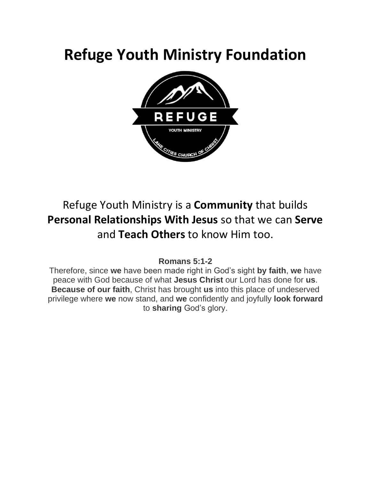## **Refuge Youth Ministry Foundation**



#### Refuge Youth Ministry is a **Community** that builds **Personal Relationships With Jesus** so that we can **Serve** and **Teach Others** to know Him too.

#### **Romans 5:1-2**

Therefore, since **we** have been made right in God's sight **by faith**, **we** have peace with God because of what **Jesus Christ** our Lord has done for **us**. **Because of our faith**, Christ has brought **us** into this place of undeserved privilege where **we** now stand, and **we** confidently and joyfully **look forward** to **sharing** God's glory.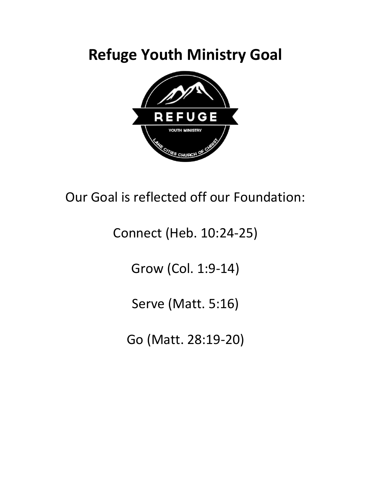## **Refuge Youth Ministry Goal**



#### Our Goal is reflected off our Foundation:

### Connect (Heb. 10:24-25)

Grow (Col. 1:9-14)

Serve (Matt. 5:16)

Go (Matt. 28:19-20)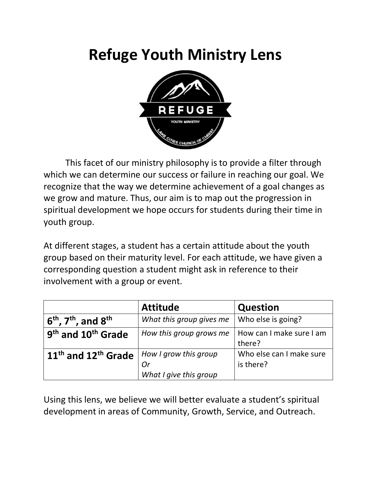## **Refuge Youth Ministry Lens**



This facet of our ministry philosophy is to provide a filter through which we can determine our success or failure in reaching our goal. We recognize that the way we determine achievement of a goal changes as we grow and mature. Thus, our aim is to map out the progression in spiritual development we hope occurs for students during their time in youth group.

At different stages, a student has a certain attitude about the youth group based on their maturity level. For each attitude, we have given a corresponding question a student might ask in reference to their involvement with a group or event.

|                                            | <b>Attitude</b>                                       | <b>Question</b>                       |
|--------------------------------------------|-------------------------------------------------------|---------------------------------------|
| $6th$ , $7th$ , and $8th$                  | What this group gives me                              | Who else is going?                    |
| 9 <sup>th</sup> and 10 <sup>th</sup> Grade | How this group grows me                               | How can I make sure I am<br>there?    |
| $11th$ and $12th$ Grade                    | How I grow this group<br>Or<br>What I give this group | Who else can I make sure<br>is there? |

Using this lens, we believe we will better evaluate a student's spiritual development in areas of Community, Growth, Service, and Outreach.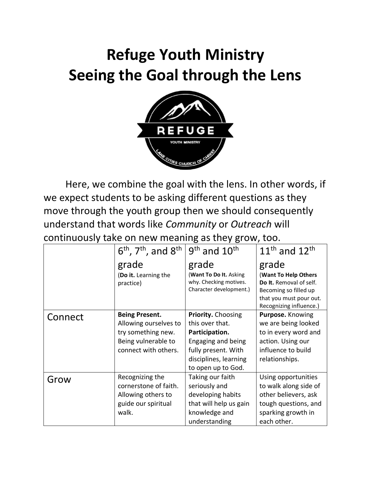# **Refuge Youth Ministry Seeing the Goal through the Lens**



Here, we combine the goal with the lens. In other words, if we expect students to be asking different questions as they move through the youth group then we should consequently understand that words like *Community* or *Outreach* will continuously take on new meaning as they grow, too.

|         | $6th$ , 7 <sup>th</sup> , and $8th$ | $9th$ and $10th$        | $11th$ and $12th$       |
|---------|-------------------------------------|-------------------------|-------------------------|
|         | grade                               | grade                   | grade                   |
|         | (Do it. Learning the                | (Want To Do It. Asking  | (Want To Help Others    |
|         | practice)                           | why. Checking motives.  | Do It. Removal of self. |
|         |                                     | Character development.) | Becoming so filled up   |
|         |                                     |                         | that you must pour out. |
|         |                                     |                         | Recognizing influence.) |
| Connect | <b>Being Present.</b>               | Priority. Choosing      | Purpose. Knowing        |
|         | Allowing ourselves to               | this over that.         | we are being looked     |
|         | try something new.                  | Participation.          | to in every word and    |
|         | Being vulnerable to                 | Engaging and being      | action. Using our       |
|         | connect with others.                | fully present. With     | influence to build      |
|         |                                     | disciplines, learning   | relationships.          |
|         |                                     | to open up to God.      |                         |
| Grow    | Recognizing the                     | Taking our faith        | Using opportunities     |
|         | cornerstone of faith.               | seriously and           | to walk along side of   |
|         | Allowing others to                  | developing habits       | other believers, ask    |
|         | guide our spiritual                 | that will help us gain  | tough questions, and    |
|         | walk.                               | knowledge and           | sparking growth in      |
|         |                                     | understanding           | each other.             |